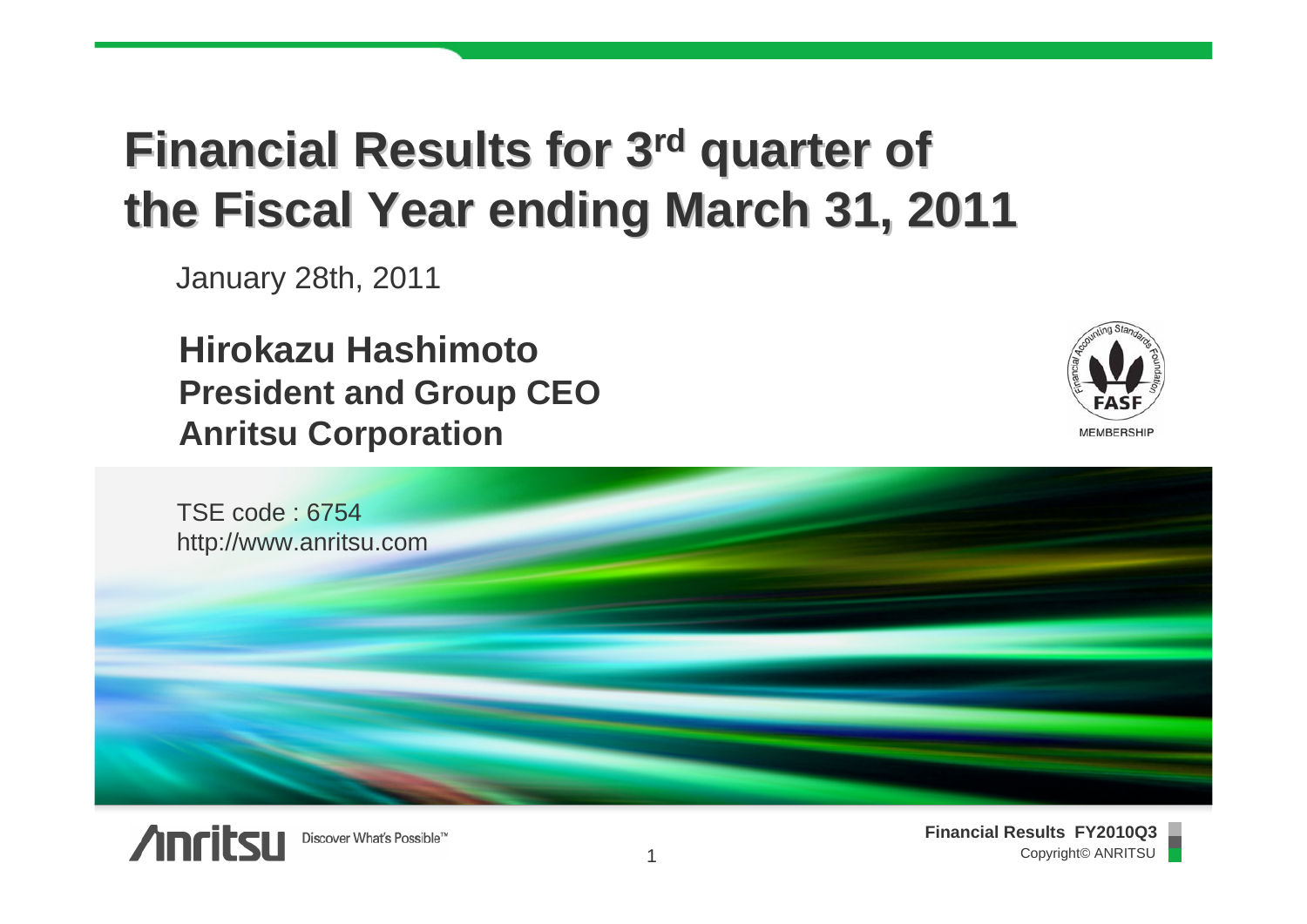# **Financial Results for 3<sup>rd</sup> quarter of the Fiscal Year ending March 31, 2011 the Fiscal Year ending March 31, 2011**

January 28th, 2011

**Hirokazu HashimotoPresident and Group CEO Anritsu Corporation**







**Financial Results FY2010Q3** Copyright© ANRITSU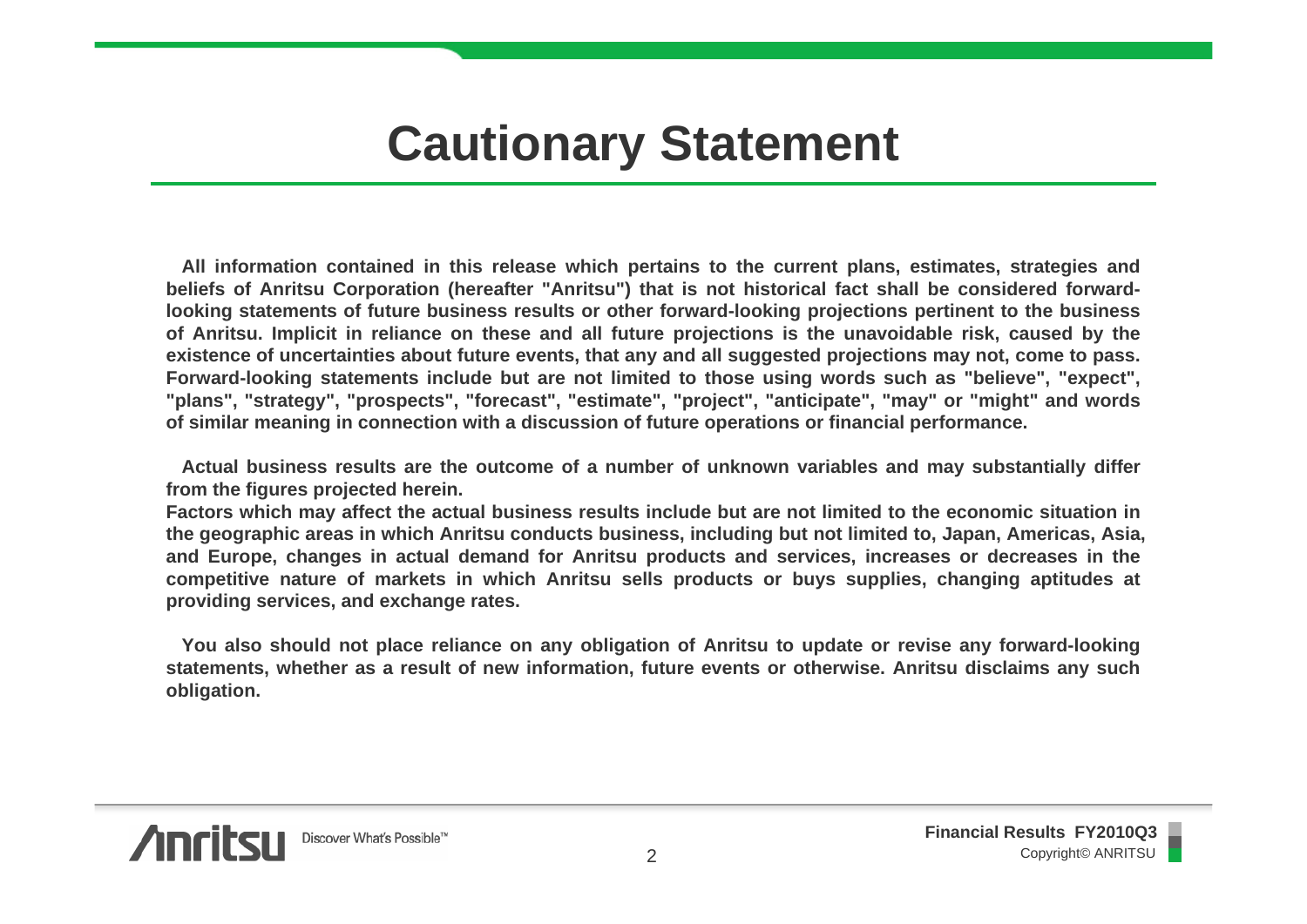## **Cautionary Statement**

**All information contained in this release which pertains to the current plans, estimates, strategies and beliefs of Anritsu Corporation (hereafter "Anritsu") that is not historical fact shall be considered forwardlooking statements of future business results or other forward-looking projections pertinent to the business of Anritsu. Implicit in reliance on these and all future projections is the unavoidable risk, caused by the existence of uncertainties about future events, that any and all suggested projections may not, come to pass. Forward-looking statements include but are not limited to those using words such as "believe", "expect", "plans", "strategy", "prospects", "forecast", "estimate", "project", "anticipate", "may" or "might" and words of similar meaning in connection with a discussion of future operations or financial performance.**

**Actual business results are the outcome of a number of unknown variables and may substantially differ from the figures projected herein.**

**Factors which may affect the actual business results include but are not limited to the economic situation in the geographic areas in which Anritsu conducts business, including but not limited to, Japan, Americas, Asia, and Europe, changes in actual demand for Anritsu products and services, increases or decreases in the competitive nature of markets in which Anritsu sells products or buys supplies, changing aptitudes at providing services, and exchange rates.**

**You also should not place reliance on any obligation of Anritsu to update or revise any forward-looking statements, whether as a result of new information, future events or otherwise. Anritsu disclaims any such obligation.** 

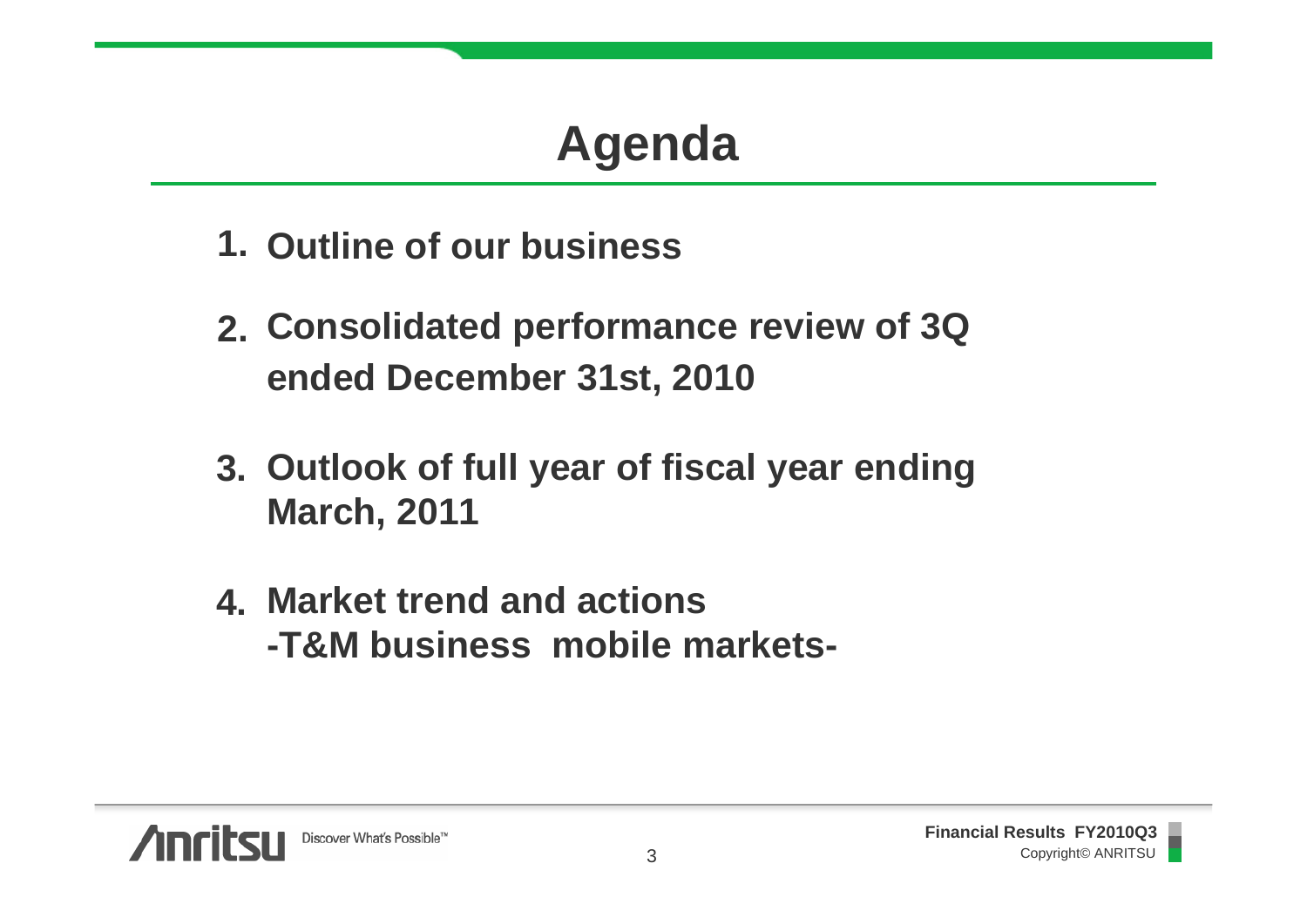# **Agenda**

- **Outline of our business1.**
- **Consolidated performance review of 3Q 2. ended December 31st, 2010**
- **Outlook of full year of fiscal year ending 3. March, 2011**
- **Market trend and actions4.-T&M business mobile markets-**

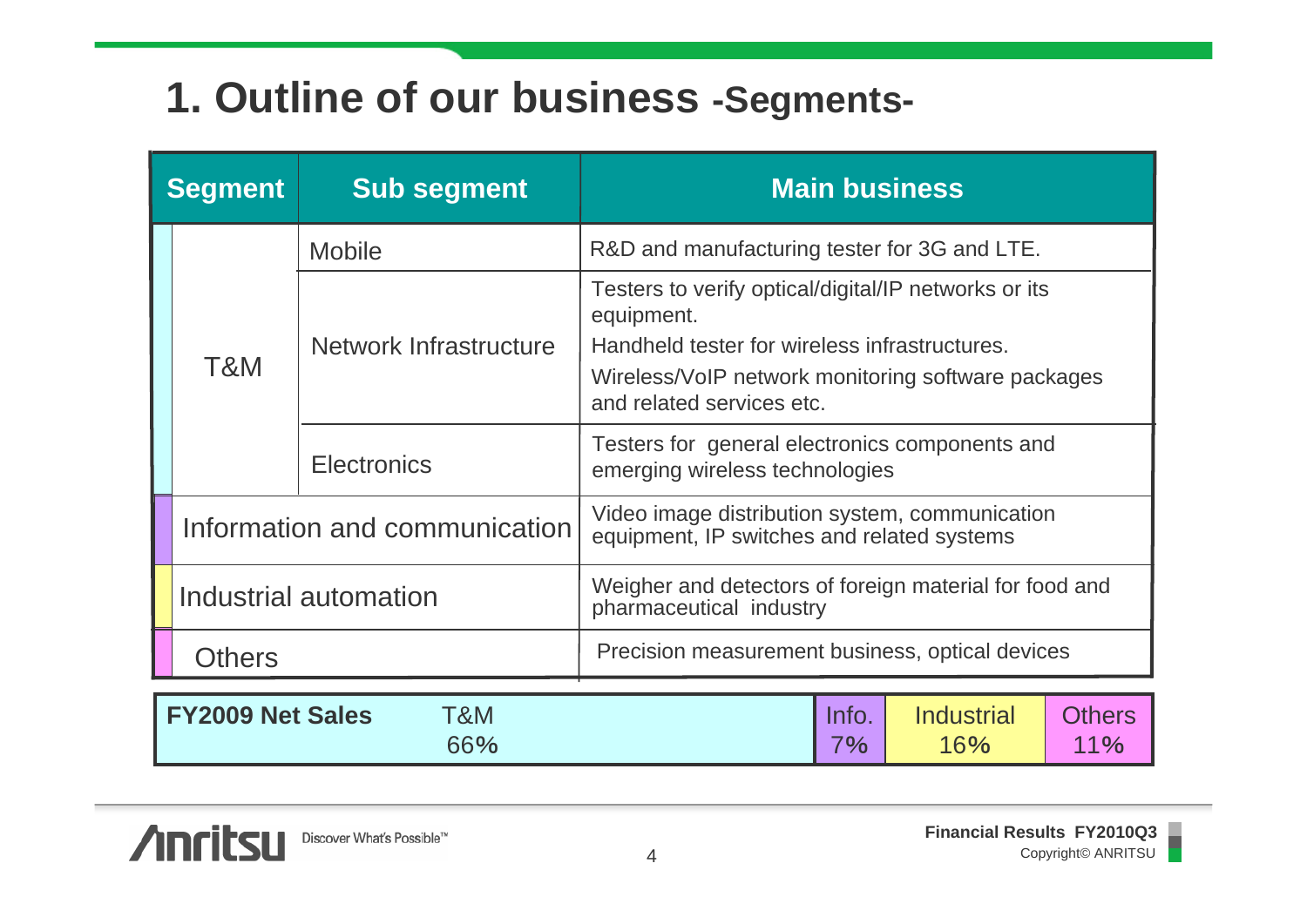#### **1. Outline of our business -Segments-**

| <b>Segment</b> |                                                        | <b>Sub segment</b>     | <b>Main business</b>                                                                                                                                                                                   |                      |  |  |  |
|----------------|--------------------------------------------------------|------------------------|--------------------------------------------------------------------------------------------------------------------------------------------------------------------------------------------------------|----------------------|--|--|--|
|                | T&M                                                    | <b>Mobile</b>          | R&D and manufacturing tester for 3G and LTE.                                                                                                                                                           |                      |  |  |  |
|                |                                                        | Network Infrastructure | Testers to verify optical/digital/IP networks or its<br>equipment.<br>Handheld tester for wireless infrastructures.<br>Wireless/VoIP network monitoring software packages<br>and related services etc. |                      |  |  |  |
|                |                                                        | <b>Electronics</b>     | Testers for general electronics components and<br>emerging wireless technologies                                                                                                                       |                      |  |  |  |
|                | Information and communication<br>Industrial automation |                        | Video image distribution system, communication<br>equipment, IP switches and related systems                                                                                                           |                      |  |  |  |
|                |                                                        |                        | Weigher and detectors of foreign material for food and<br>pharmaceutical industry                                                                                                                      |                      |  |  |  |
|                | <b>Others</b>                                          |                        | Precision measurement business, optical devices                                                                                                                                                        |                      |  |  |  |
|                | <b>FY2009 Net Sales</b>                                | T&M<br>66%             | <b>Industrial</b><br>Info.<br>7%<br>16%                                                                                                                                                                | <b>Others</b><br>11% |  |  |  |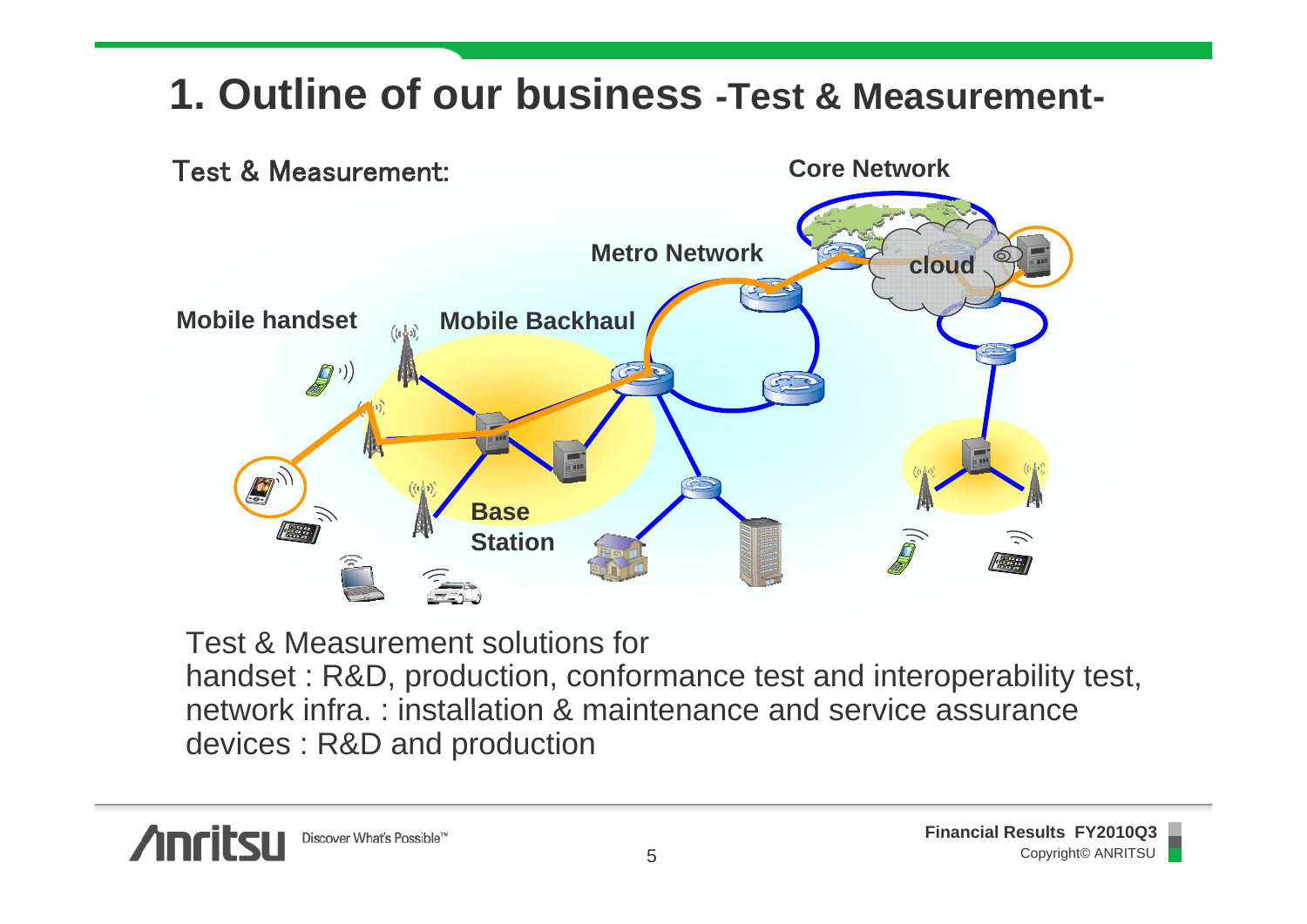#### **1. Outline of our business -Test & Measurement-**



Test & Measurement solutions for handset : R&D, production, conformance test and interoperability test, network infra. : installation & maintenance and service assurancedevices : R&D and production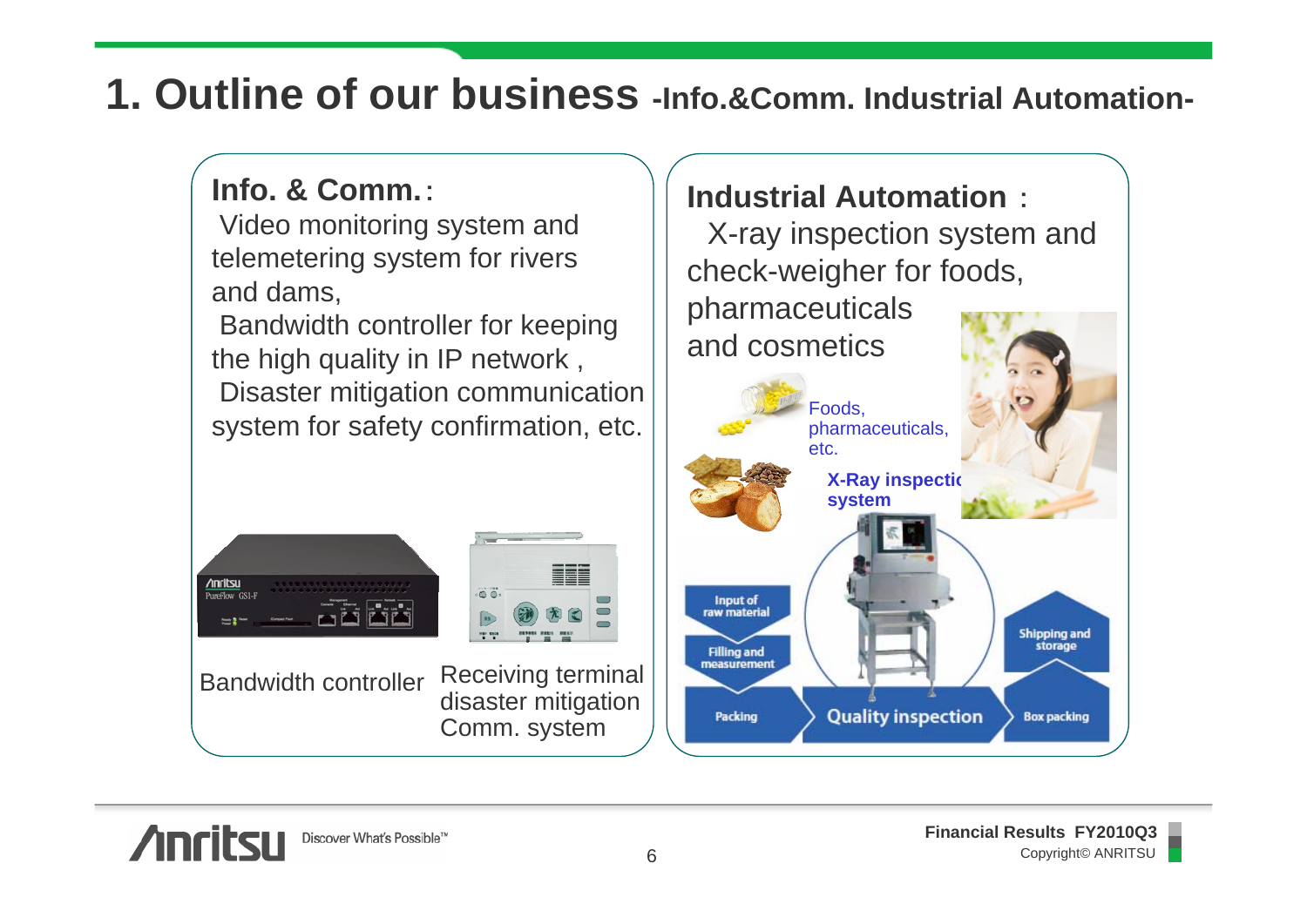#### **1. Outline of our business -Info.&Comm. Industrial Automation-**

#### **Info. & Comm.**:

Video monitoring system and telemetering system for rivers and dams,

Bandwidth controller for keeping the high quality in IP network , Disaster mitigation communication system for safety confirmation, etc.

 $\ddot{\bullet}$ 



Bandwidth controller Receiving terminal disaster mitigation Comm. system

#### **Industrial Automation** :

X-ray inspection system and check-weigher for foods, pharmaceuticals and cosmetics

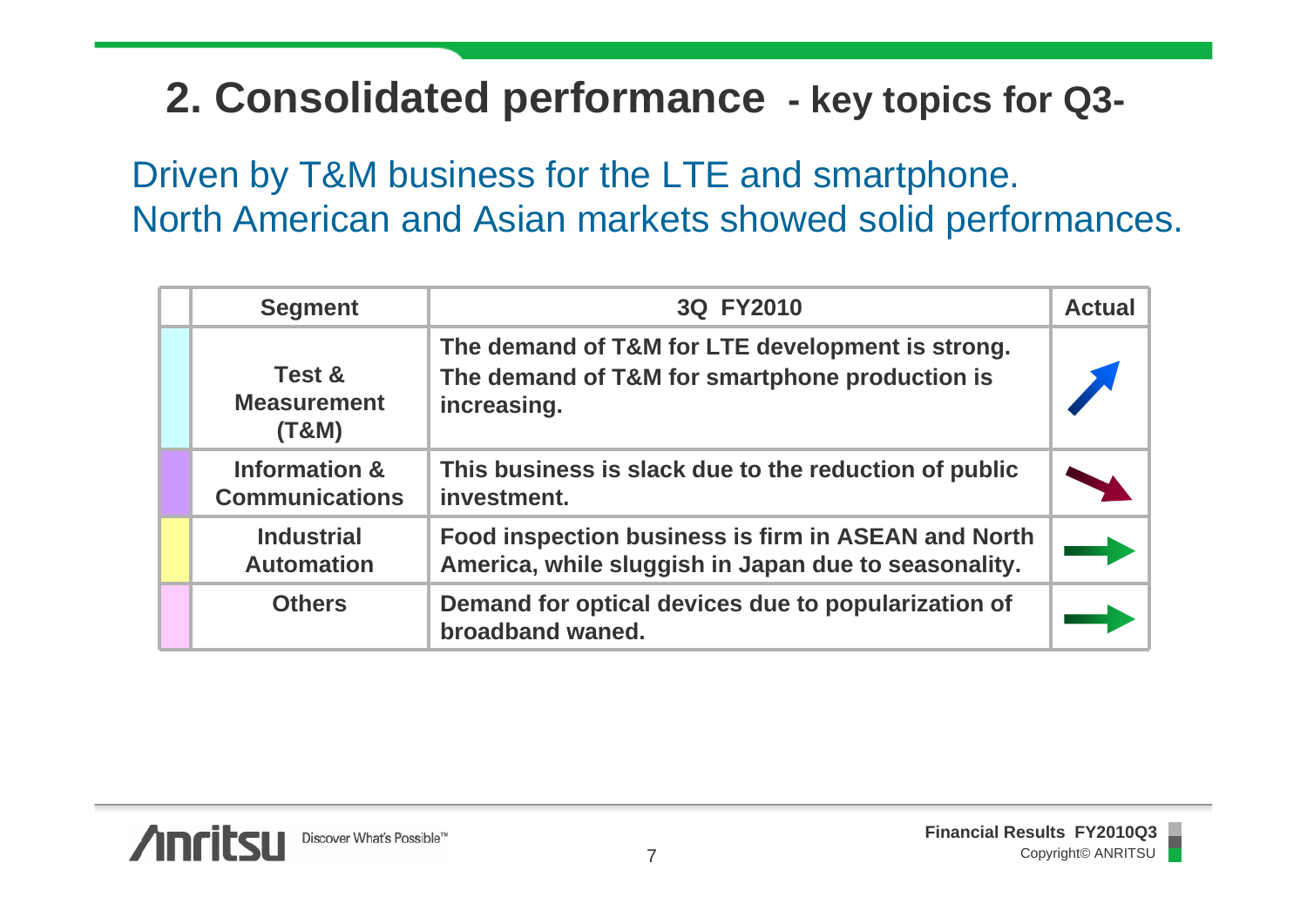#### **2. Consolidated performance - key topics for Q3-**

Driven by T&M business for the LTE and smartphone. North American and Asian markets showed solid performances.

| <b>Segment</b>                                    | 3Q FY2010                                                                                                         | <b>Actual</b> |
|---------------------------------------------------|-------------------------------------------------------------------------------------------------------------------|---------------|
| <b>Test &amp;</b><br><b>Measurement</b><br>(T&M)  | The demand of T&M for LTE development is strong.<br>The demand of T&M for smartphone production is<br>increasing. |               |
| <b>Information &amp;</b><br><b>Communications</b> | This business is slack due to the reduction of public<br>investment.                                              |               |
| <b>Industrial</b><br><b>Automation</b>            | Food inspection business is firm in ASEAN and North<br>America, while sluggish in Japan due to seasonality.       |               |
| <b>Others</b>                                     | Demand for optical devices due to popularization of<br>broadband waned.                                           |               |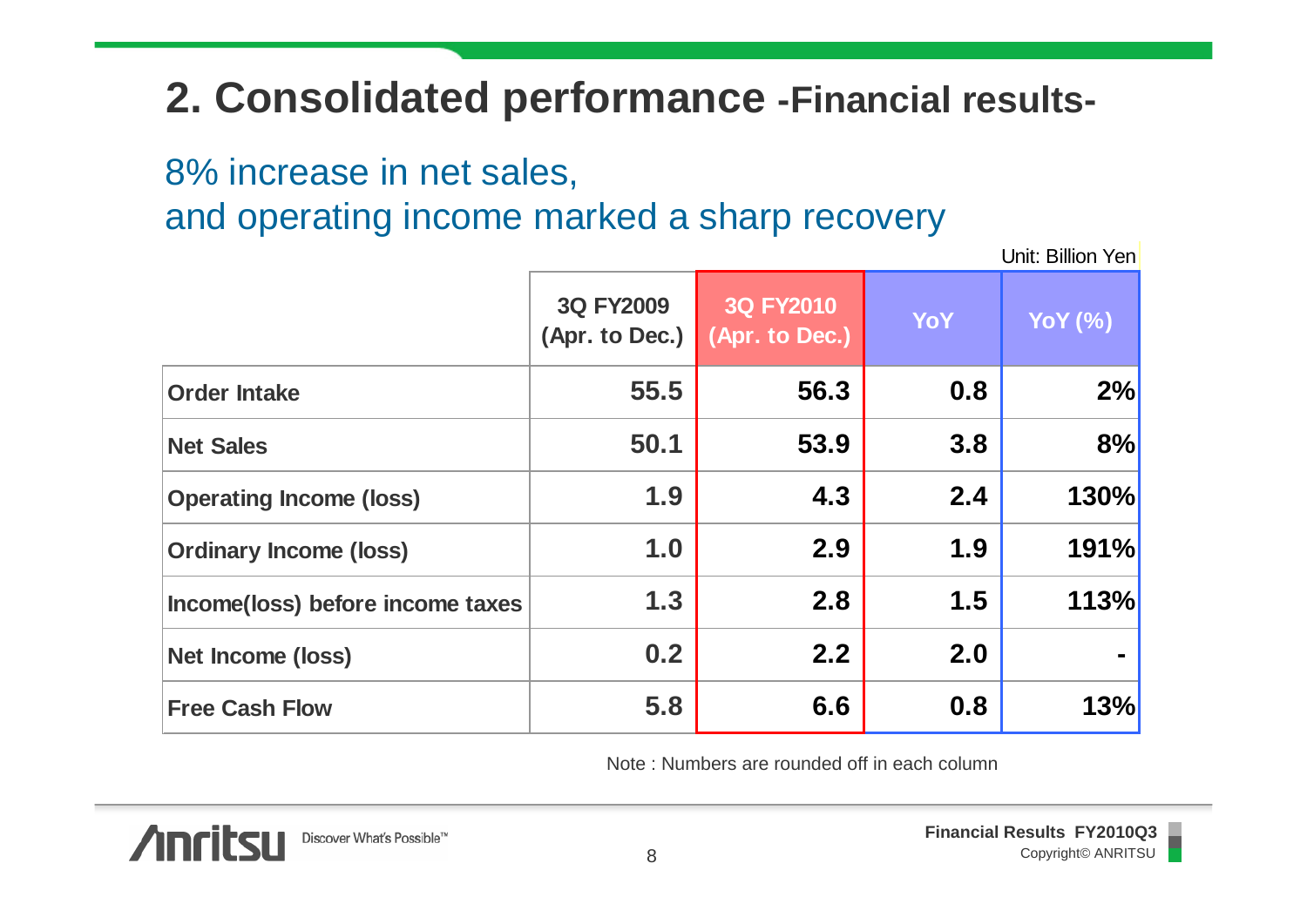#### **2. Consolidated performance -Financial results-**

8% increase in net sales,

and operating income marked a sharp recovery

Unit: Billion Yen

|                                  | <b>3Q FY2009</b><br>(Apr. to Dec.) | <b>3Q FY2010</b><br>(Apr. to Dec.) | <b>YoY</b> | <b>YoY</b> (%) |
|----------------------------------|------------------------------------|------------------------------------|------------|----------------|
| <b>Order Intake</b>              | 55.5                               | 56.3                               | 0.8        | 2%             |
| <b>Net Sales</b>                 | 50.1                               | 53.9                               | 3.8        | 8%             |
| <b>Operating Income (loss)</b>   | 1.9                                | 4.3                                | 2.4        | 130%           |
| <b>Ordinary Income (loss)</b>    | 1.0                                | 2.9                                | 1.9        | 191%           |
| Income(loss) before income taxes | 1.3                                | 2.8                                | 1.5        | 113%           |
| Net Income (loss)                | 0.2                                | 2.2                                | 2.0        |                |
| <b>Free Cash Flow</b>            | 5.8                                | 6.6                                | 0.8        | 13%            |

Note : Numbers are rounded off in each column

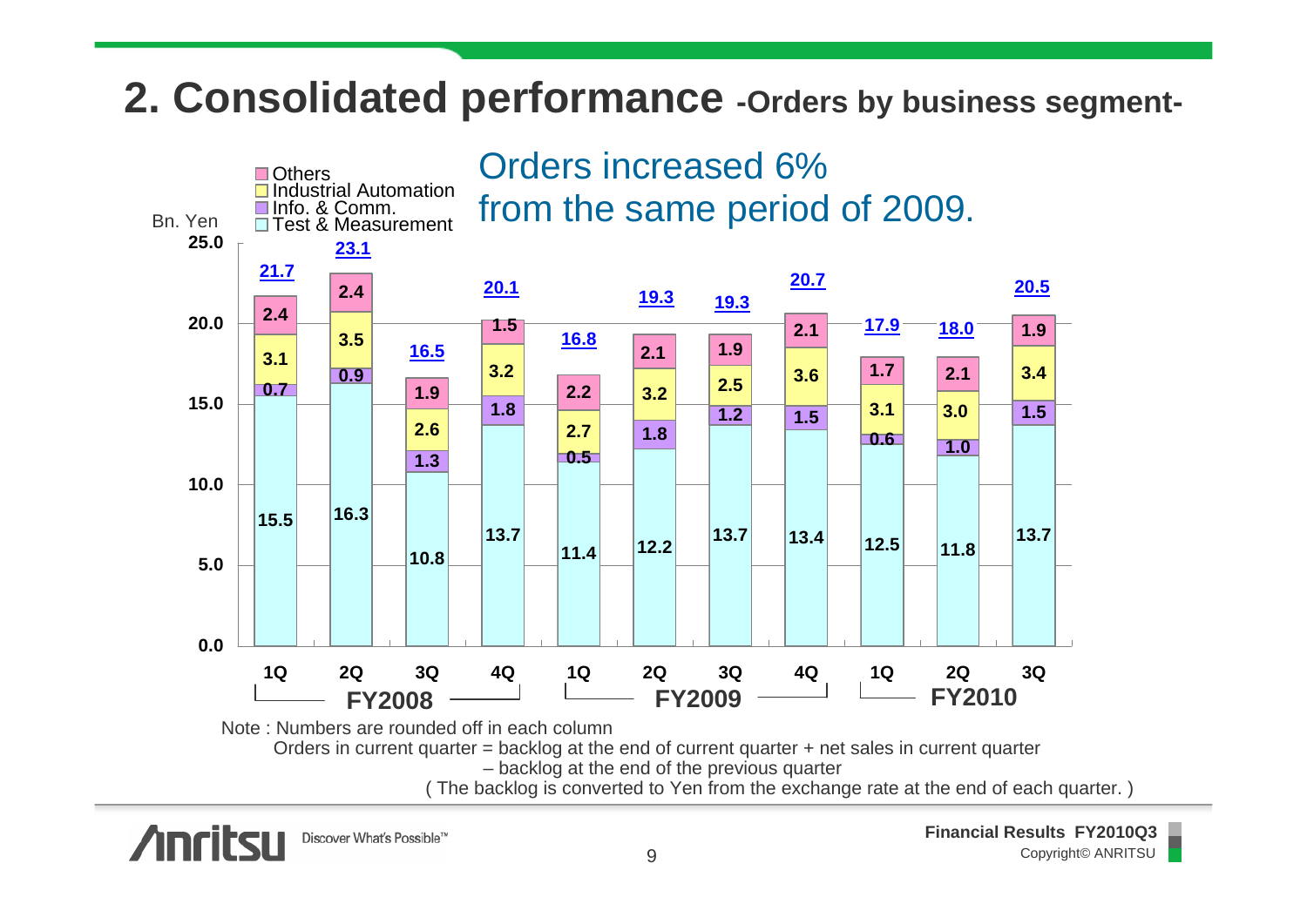#### **2. Consolidated performance -Orders by business segment-**



( The backlog is converted to Yen from the exchange rate at the end of each quarter. )



**Financial Results FY2010Q3** Copyright© ANRITSU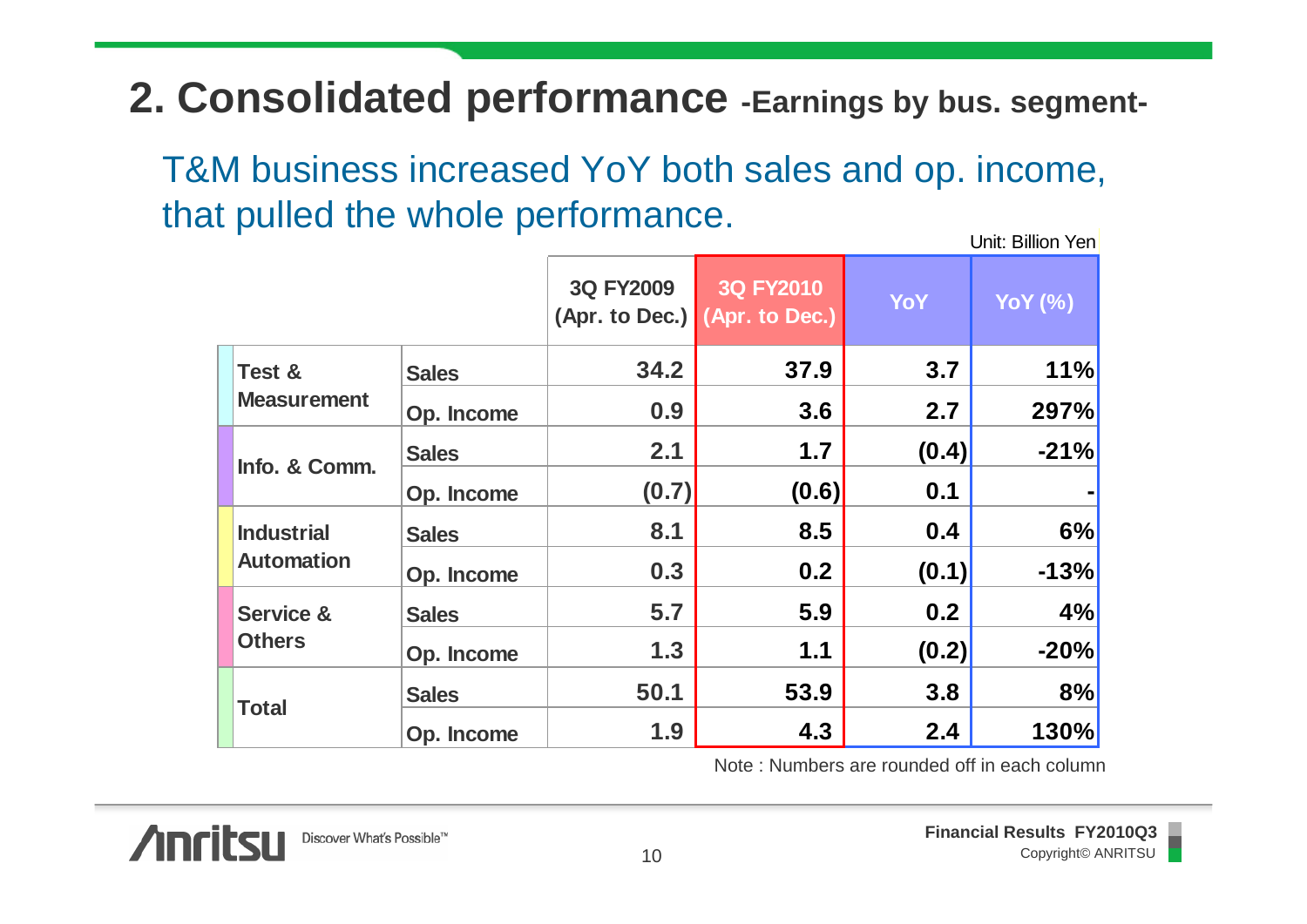#### **2. Consolidated performance -Earnings by bus. segment-**

Unit: Billion Yen

|                                        |              | that pulled the whole performance. |                                            |            | Unit: Billion Yen |
|----------------------------------------|--------------|------------------------------------|--------------------------------------------|------------|-------------------|
|                                        |              | 3Q FY2009                          | 3Q FY2010<br>(Apr. to Dec.) (Apr. to Dec.) | <b>YoY</b> | <b>YoY</b> (%)    |
| Test &<br><b>Measurement</b>           | <b>Sales</b> | 34.2                               | 37.9                                       | 3.7        | 11%               |
|                                        | Op. Income   | 0.9                                | 3.6                                        | 2.7        | 297%              |
| Info. & Comm.                          | <b>Sales</b> | 2.1                                | 1.7                                        | (0.4)      | $-21%$            |
|                                        | Op. Income   | (0.7)                              | (0.6)                                      | 0.1        |                   |
| <b>Industrial</b><br><b>Automation</b> | <b>Sales</b> | 8.1                                | 8.5                                        | 0.4        |                   |
|                                        | Op. Income   | 0.3                                | 0.2                                        | (0.1)      | $-13%$            |
| <b>Service &amp;</b><br><b>Others</b>  | <b>Sales</b> | 5.7                                | 5.9                                        | 0.2        | 4%                |
|                                        | Op. Income   | 1.3                                | $1.1$                                      | (0.2)      | $-20%$            |
| <b>Total</b>                           | <b>Sales</b> | 50.1                               | 53.9                                       | 3.8        | 8%                |
|                                        | Op. Income   | 1.9                                | 4.3                                        | 2.4        | 130%              |

Note : Numbers are rounded off in each column

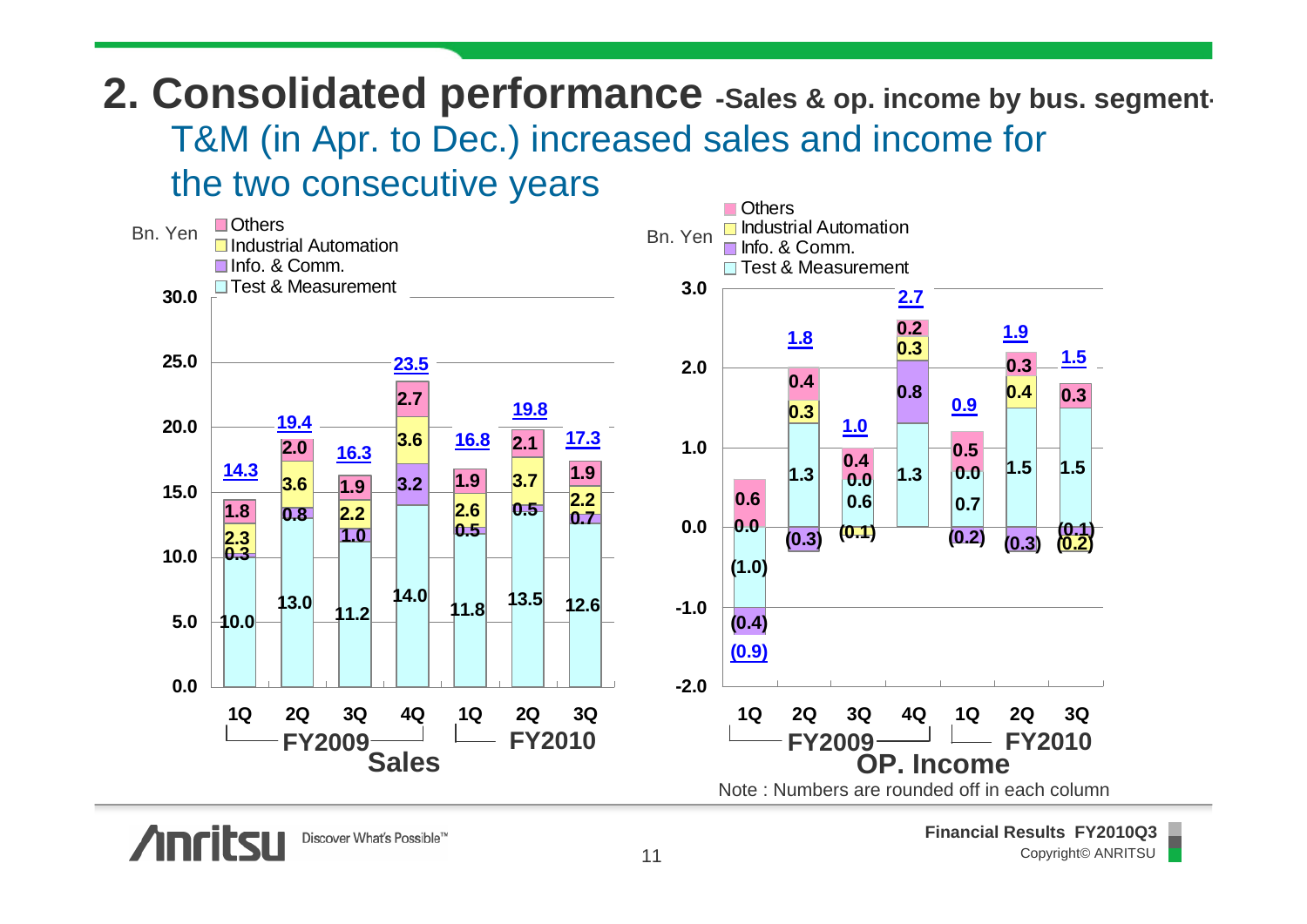**2. Consolidated performance -Sales & op. income by bus. segment-**T&M (in Apr. to Dec.) increased sales and income for the two consecutive years





**Financial Results FY2010Q3** Copyright© ANRITSU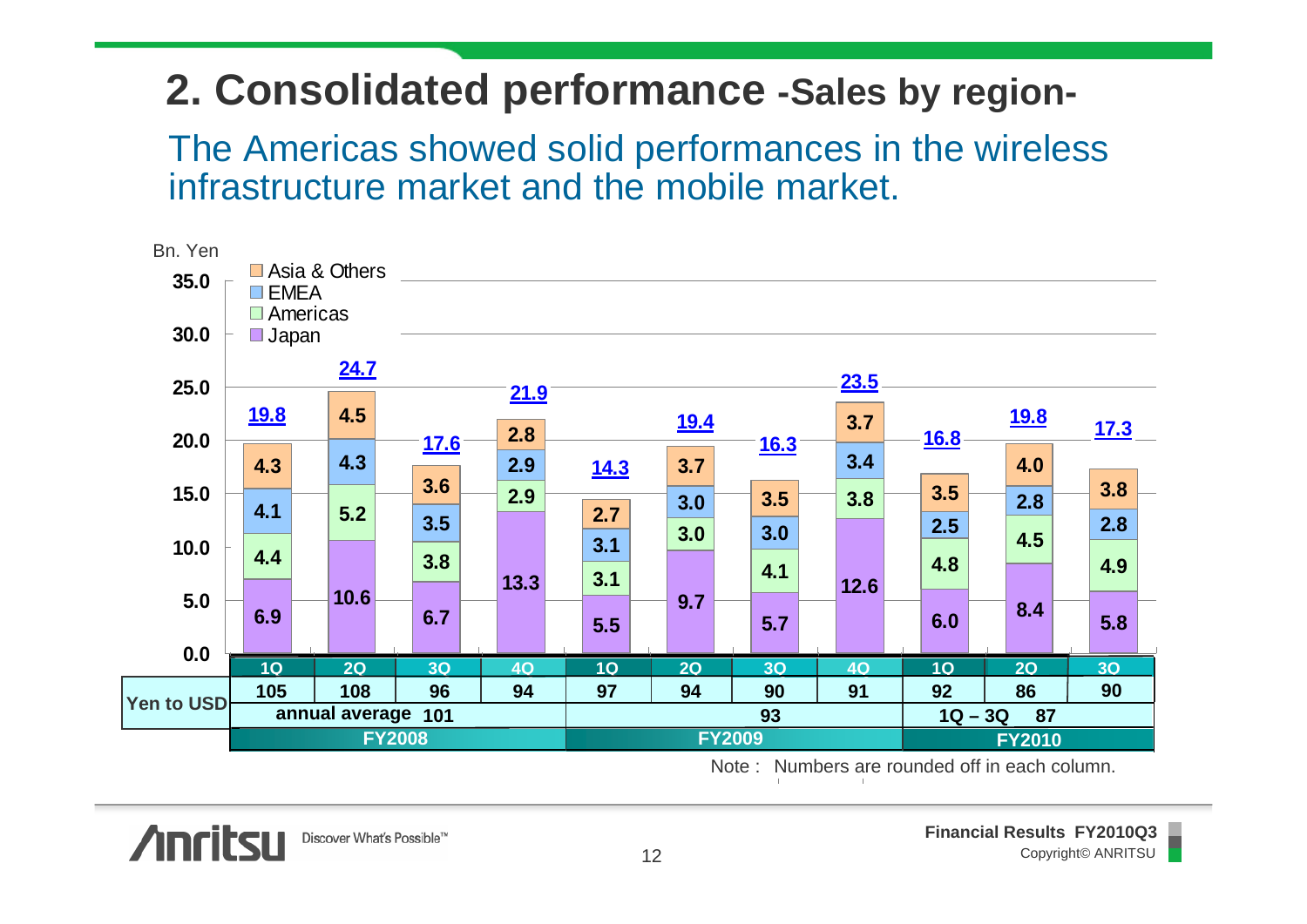#### **2. Consolidated performance -Sales by region-**

The Americas showed solid performances in the wireless infrastructure market and the mobile market.



Note : Numbers are rounded off in each column.

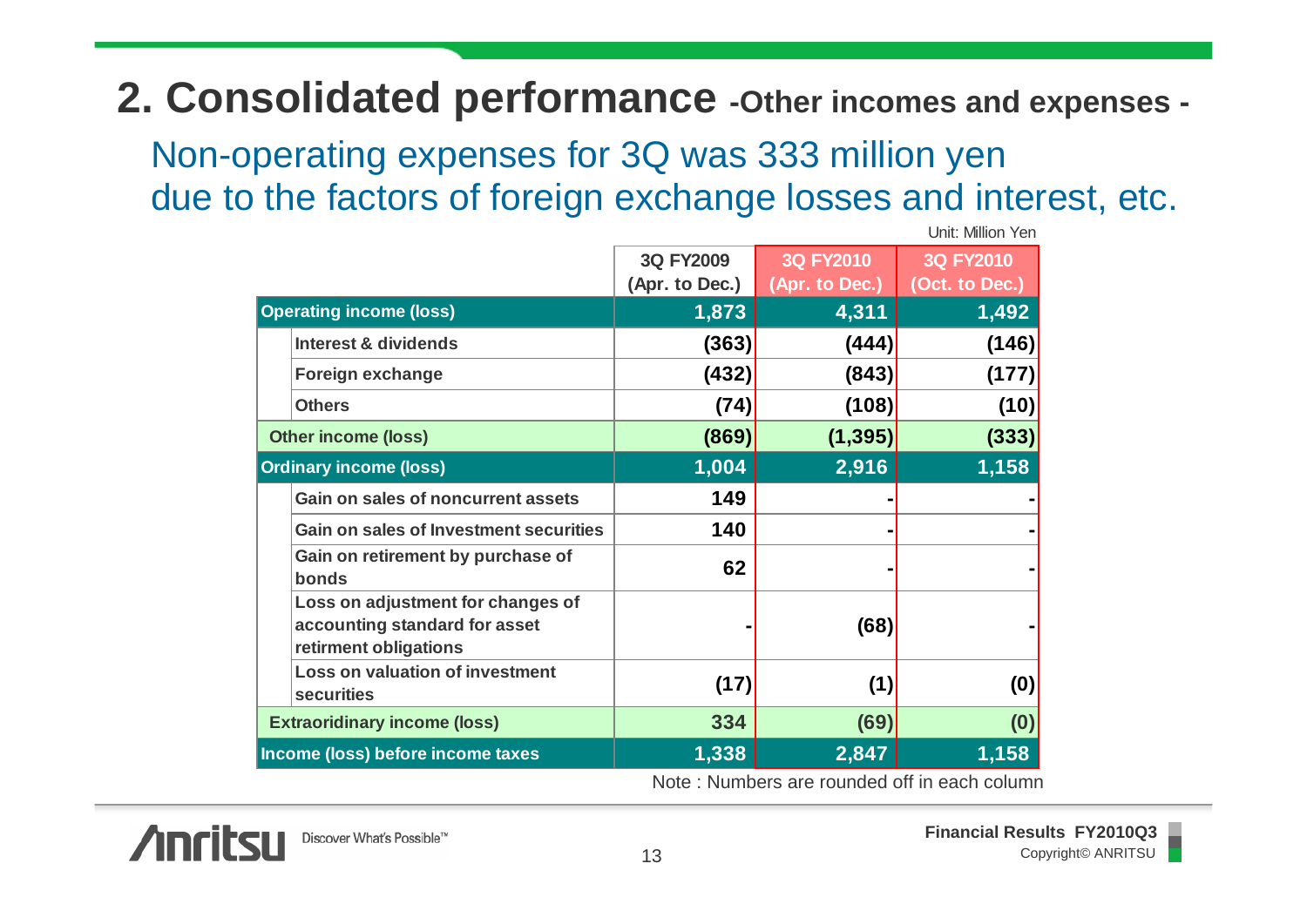#### **2. Consolidated performance -Other incomes and expenses -**

Non-operating expenses for 3Q was 333 million yen due to the factors of foreign exchange losses and interest, etc.

| UTIIL IVIIIIUIT TUI                                                                         |                |                  |                  |  |
|---------------------------------------------------------------------------------------------|----------------|------------------|------------------|--|
|                                                                                             | 3Q FY2009      | <b>3Q FY2010</b> | <b>3Q FY2010</b> |  |
|                                                                                             | (Apr. to Dec.) | (Apr. to Dec.)   | (Oct. to Dec.)   |  |
| <b>Operating income (loss)</b>                                                              | 1,873          | 4,311            | 1,492            |  |
| <b>Interest &amp; dividends</b>                                                             | (363)          | (444)            | (146)            |  |
| <b>Foreign exchange</b>                                                                     | (432)          | (843)            | (177)            |  |
| <b>Others</b>                                                                               | (74)           | (108)            | (10)             |  |
| <b>Other income (loss)</b>                                                                  | (869)          | (1, 395)         | (333)            |  |
| <b>Ordinary income (loss)</b>                                                               | 1,004          | 2,916            | 1,158            |  |
| Gain on sales of noncurrent assets                                                          | 149            |                  |                  |  |
| <b>Gain on sales of Investment securities</b>                                               | 140            |                  |                  |  |
| Gain on retirement by purchase of<br>bonds                                                  | 62             |                  |                  |  |
| Loss on adjustment for changes of<br>accounting standard for asset<br>retirment obligations |                | (68)             |                  |  |
| <b>Loss on valuation of investment</b><br><b>securities</b>                                 | (17)           | (1)              | (0)              |  |
| <b>Extraoridinary income (loss)</b>                                                         | 334            | (69)             | (0)              |  |
| Income (loss) before income taxes                                                           | 1,338          | 2,847            | 1,158            |  |

Note : Numbers are rounded off in each column



Unit: Million Yen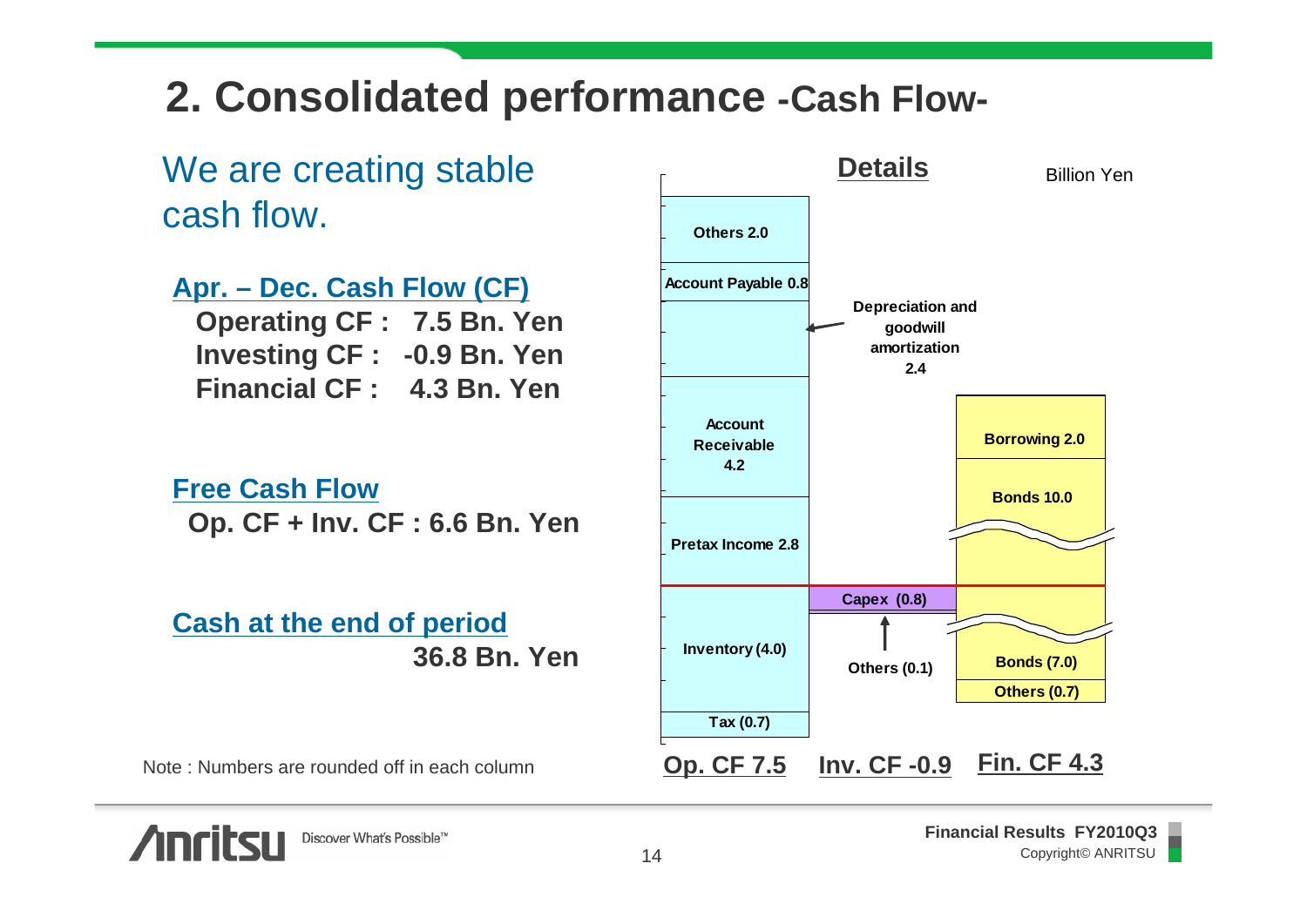#### **2. Consolidated performance -Cash Flow-**

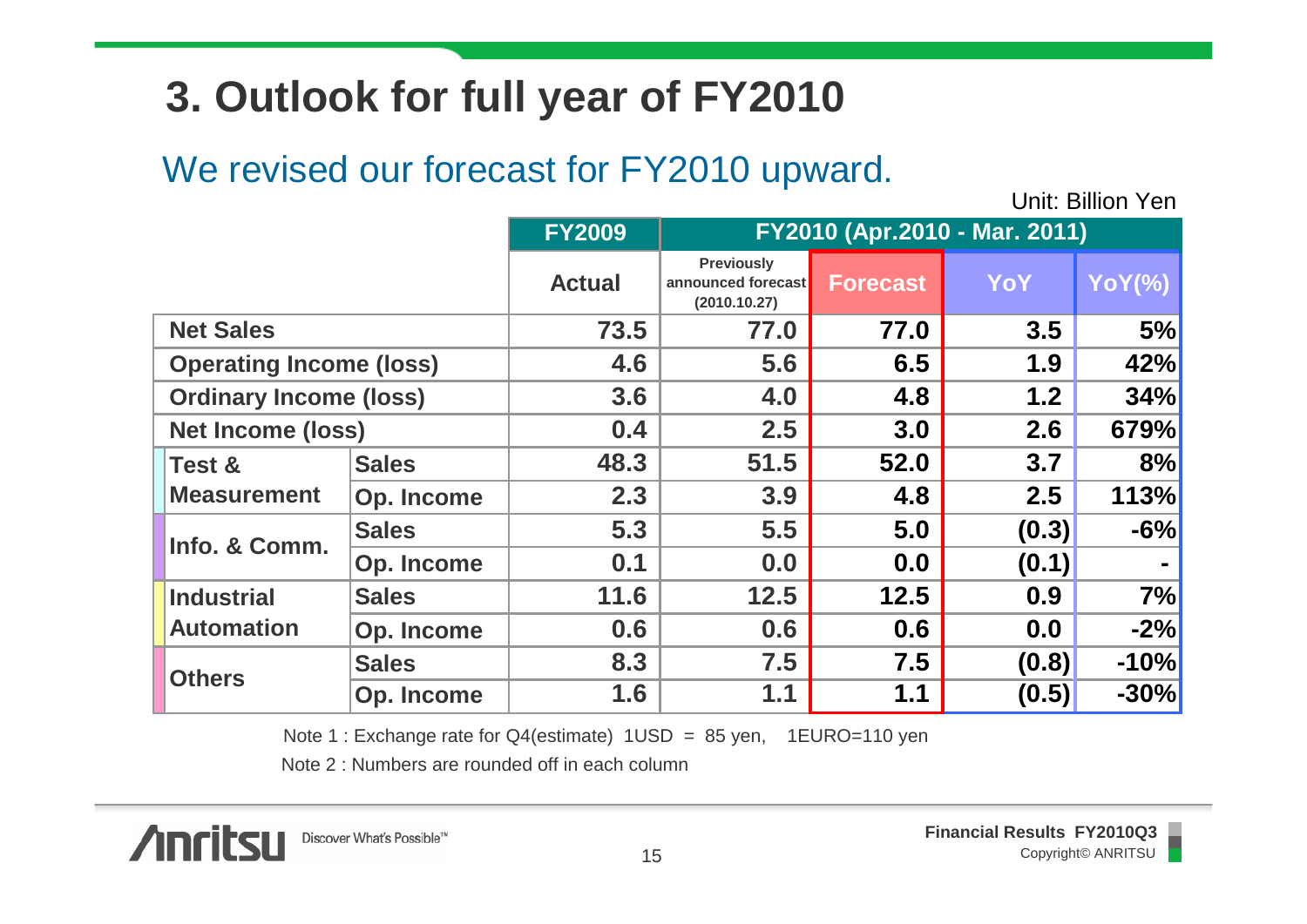## **3. Outlook for full year of FY2010**

#### We revised our forecast for FY2010 upward.

Unit: Billion Yen

|                                |              | <b>FY2009</b> | FY2010 (Apr.2010 - Mar. 2011)                           |                 |       |               |
|--------------------------------|--------------|---------------|---------------------------------------------------------|-----------------|-------|---------------|
|                                |              | <b>Actual</b> | <b>Previously</b><br>announced forecast<br>(2010.10.27) | <b>Forecast</b> | YoY   | <b>YoY(%)</b> |
| <b>Net Sales</b>               |              | 73.5          | 77.0                                                    | 77.0            | 3.5   | 5%            |
| <b>Operating Income (loss)</b> |              | 4.6           | 5.6                                                     | 6.5             | 1.9   | 42%           |
| <b>Ordinary Income (loss)</b>  |              | 3.6           | 4.0                                                     | 4.8             | 1.2   | 34%           |
| <b>Net Income (loss)</b>       |              | 0.4           | 2.5                                                     | 3.0             | 2.6   | 679%          |
| <b>Test &amp;</b>              | <b>Sales</b> | 48.3          | 51.5                                                    | 52.0            | 3.7   | 8%            |
| <b>Measurement</b>             | Op. Income   | 2.3           | 3.9                                                     | 4.8             | 2.5   | 113%          |
| Info. & Comm.                  | <b>Sales</b> | 5.3           | 5.5                                                     | 5.0             | (0.3) | $-6%$         |
|                                | Op. Income   | 0.1           | 0.0                                                     | 0.0             | (0.1) |               |
| <b>Industrial</b>              | <b>Sales</b> | 11.6          | 12.5                                                    | 12.5            | 0.9   | 7%            |
| <b>Automation</b>              | Op. Income   | 0.6           | 0.6                                                     | 0.6             | 0.0   | $-2%$         |
| <b>Others</b>                  | <b>Sales</b> | 8.3           | 7.5                                                     | 7.5             | (0.8) | $-10%$        |
|                                | Op. Income   | 1.6           | 1.1                                                     | 1.1             | (0.5) | $-30%$        |

Note 1 : Exchange rate for Q4(estimate) 1USD = 85 yen, 1EURO=110 yen

Note 2 : Numbers are rounded off in each column

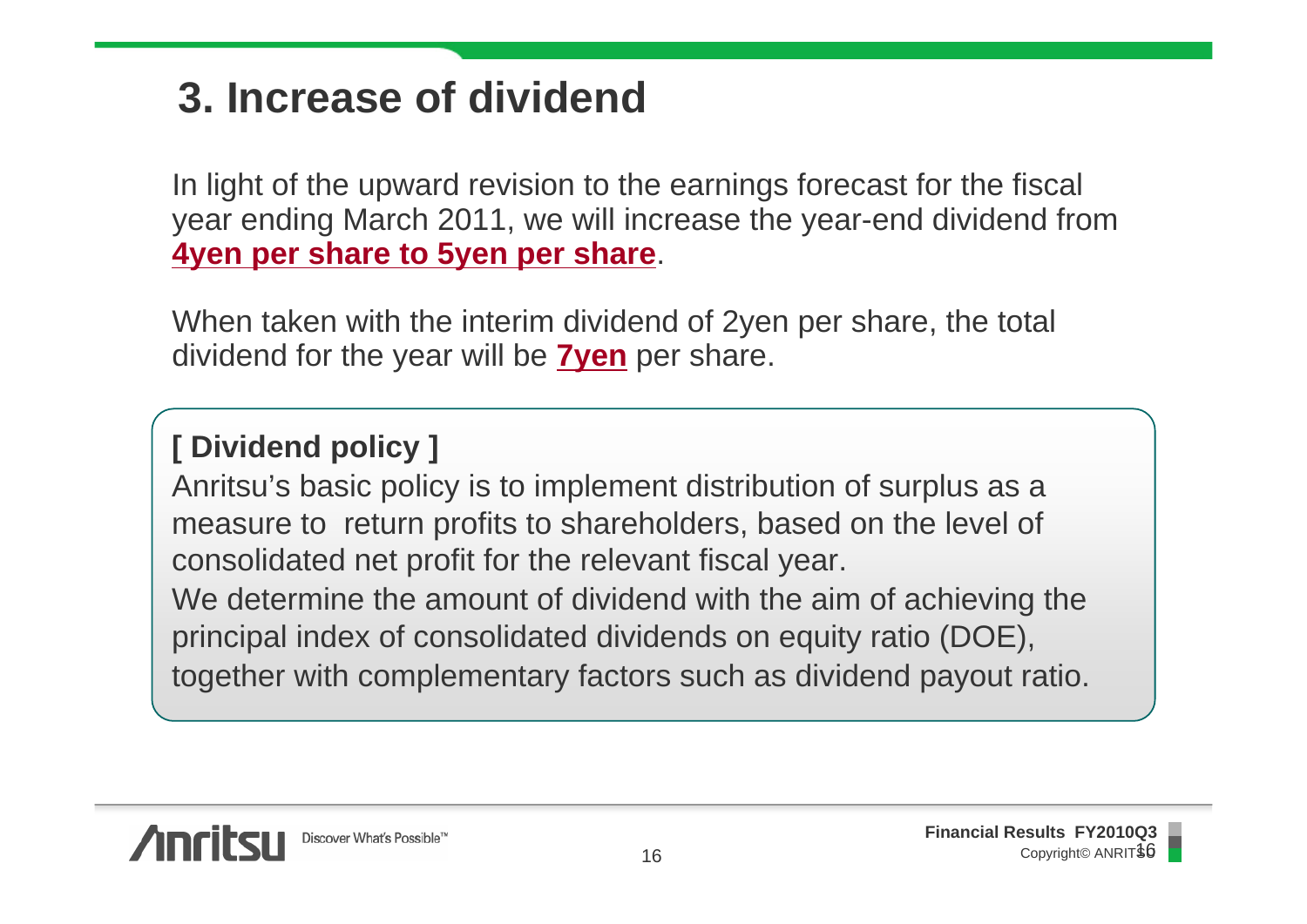## **3. Increase of dividend**

In light of the upward revision to the earnings forecast for the fiscal year ending March 2011, we will increase the year-end dividend from **4yen per share to 5yen per share**.

When taken with the interim dividend of 2yen per share, the total dividend for the year will be **7yen** per share.

#### **[ Dividend policy ]**

Anritsu's basic policy is to implement distribution of surplus as a measure to return profits to shareholders, based on the level of consolidated net profit for the relevant fiscal year.

We determine the amount of dividend with the aim of achieving the principal index of consolidated dividends on equity ratio (DOE), together with complementary factors such as dividend payout ratio.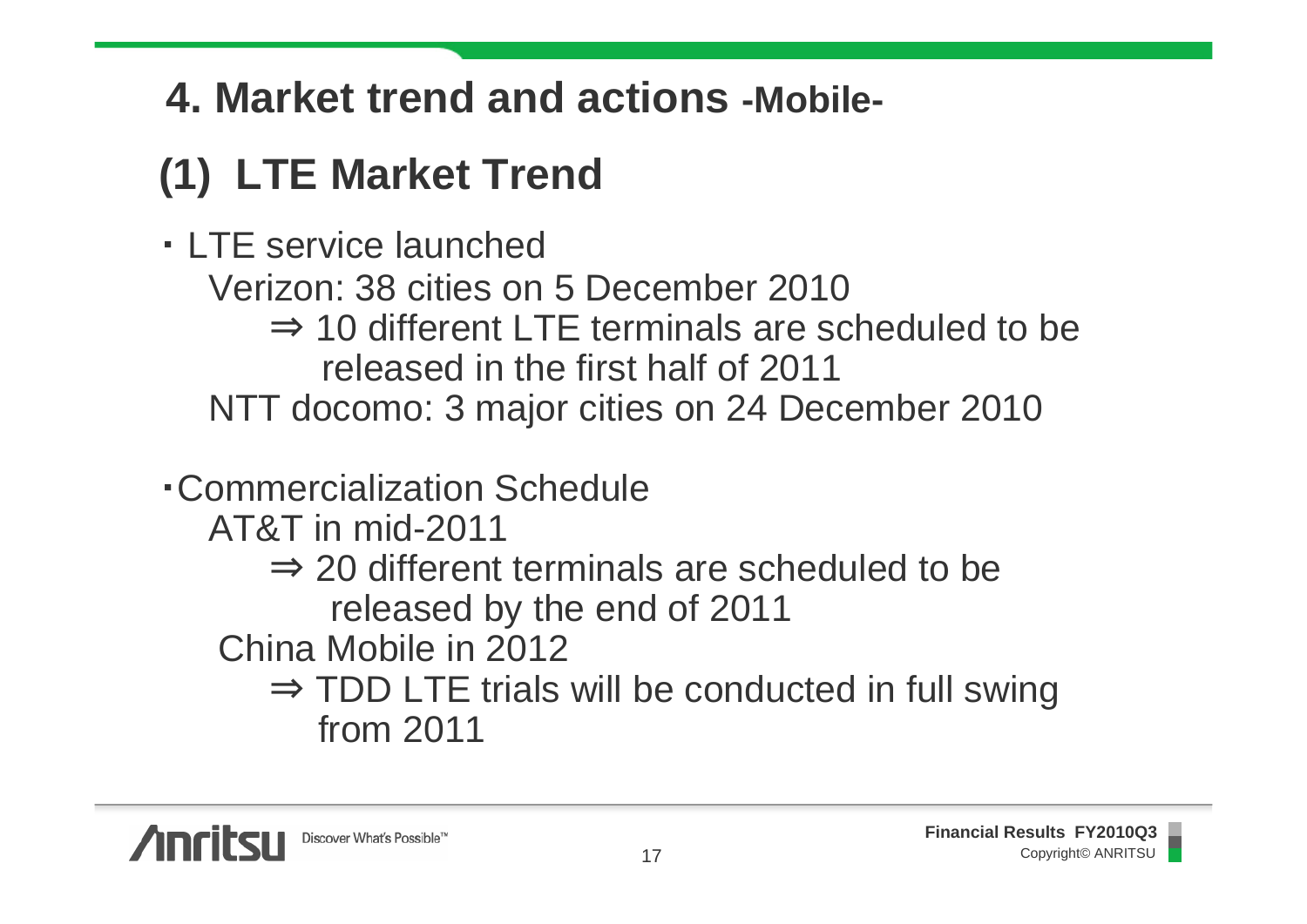## **4. Market trend and actions -Mobile-**

# **(1) LTE Market Trend**

・ LTE service launched

Verizon: 38 cities on 5 December 2010

 $\Rightarrow$  10 different LTE terminals are scheduled to be released in the first half of 2011

NTT docomo: 3 major cities on 24 December 2010

・Commercialization Schedule

AT&T in mid-2011

⇒ 20 different terminals are scheduled to be released by the end of 2011

China Mobile in 2012

⇒ TDD LTE trials will be conducted in full swing from 2011

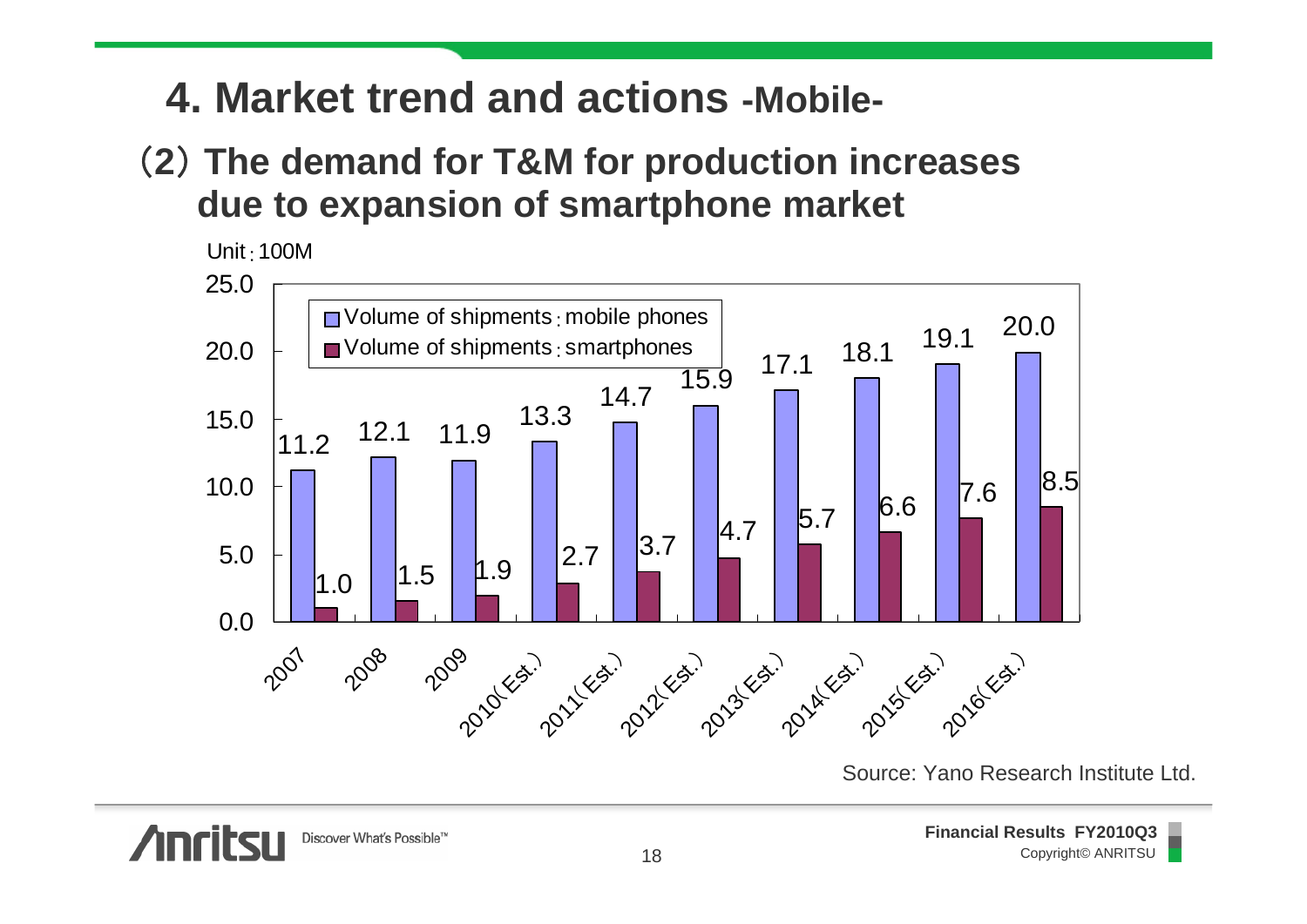#### **4. Market trend and actions -Mobile-**

#### (**2**) **The demand for T&M for production increases due to expansion of smartphone market**



Source: Yano Research Institute Ltd.

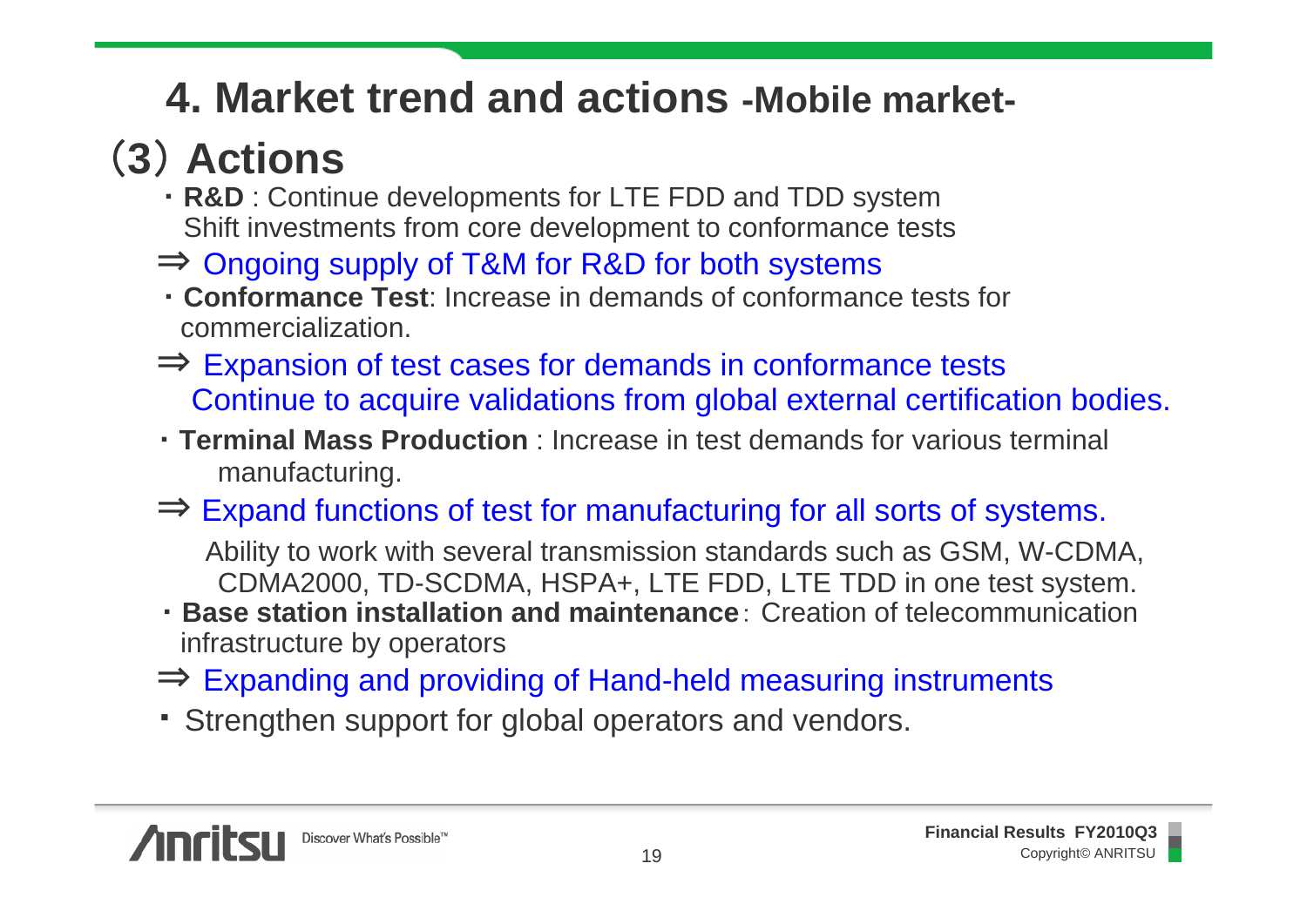## **4. Market trend and actions -Mobile market-**

# (**3**) **Actions**

- ・ **R&D** : Continue developments for LTE FDD and TDD system Shift investments from core development to conformance tests
- ⇒ Ongoing supply of T&M for R&D for both systems
- ・ **Conformance Test**: Increase in demands of conformance tests for commercialization.
- ⇒ Expansion of test cases for demands in conformance tests Continue to acquire validations from global external certification bodies.
- ・ **Terminal Mass Production** : Increase in test demands for various terminal manufacturing.
- ⇒ Expand functions of test for manufacturing for all sorts of systems.

Ability to work with several transmission standards such as GSM, W-CDMA, CDMA2000, TD-SCDMA, HSPA+, LTE FDD, LTE TDD in one test system.

- ・ **Base station installation and maintenance**: Creation of telecommunication infrastructure by operators
- ⇒ Expanding and providing of Hand-held measuring instruments
- ・ Strengthen support for global operators and vendors.